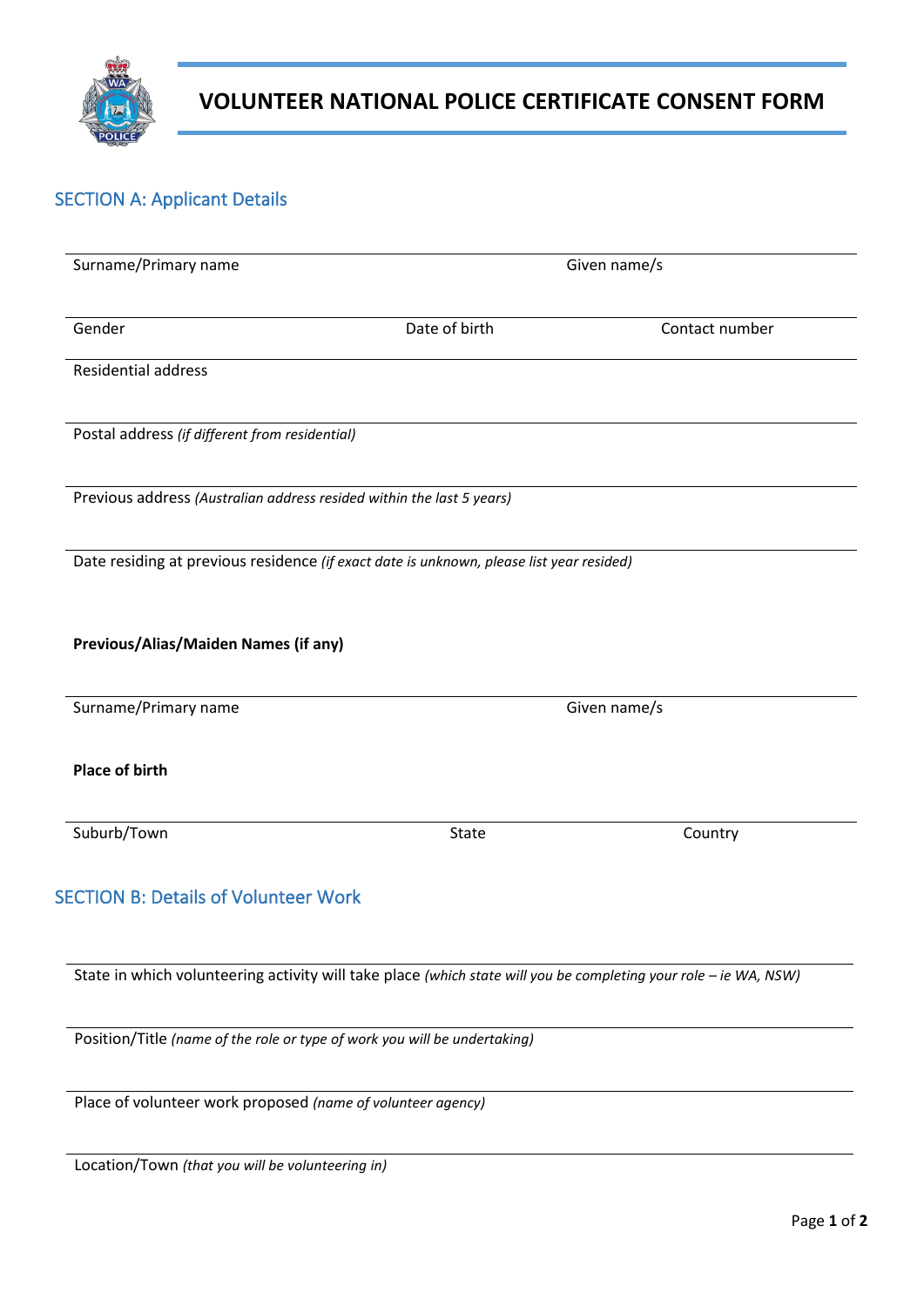

# **VOLUNTEER NATIONAL POLICE CERTIFICATE CONSENT FORM**

## SECTION A: Applicant Details

| Surname/Primary name                                                      | Given name/s                                                                                                     |                |  |
|---------------------------------------------------------------------------|------------------------------------------------------------------------------------------------------------------|----------------|--|
| Gender                                                                    | Date of birth                                                                                                    | Contact number |  |
| <b>Residential address</b>                                                |                                                                                                                  |                |  |
| Postal address (if different from residential)                            |                                                                                                                  |                |  |
| Previous address (Australian address resided within the last 5 years)     |                                                                                                                  |                |  |
|                                                                           | Date residing at previous residence (if exact date is unknown, please list year resided)                         |                |  |
| Previous/Alias/Maiden Names (if any)                                      |                                                                                                                  |                |  |
| Surname/Primary name                                                      |                                                                                                                  | Given name/s   |  |
| <b>Place of birth</b>                                                     |                                                                                                                  |                |  |
| Suburb/Town                                                               | State                                                                                                            | Country        |  |
| <b>SECTION B: Details of Volunteer Work</b>                               |                                                                                                                  |                |  |
|                                                                           |                                                                                                                  |                |  |
|                                                                           | State in which volunteering activity will take place (which state will you be completing your role - ie WA, NSW) |                |  |
| Position/Title (name of the role or type of work you will be undertaking) |                                                                                                                  |                |  |

Place of volunteer work proposed *(name of volunteer agency)*

Location/Town *(that you will be volunteering in)*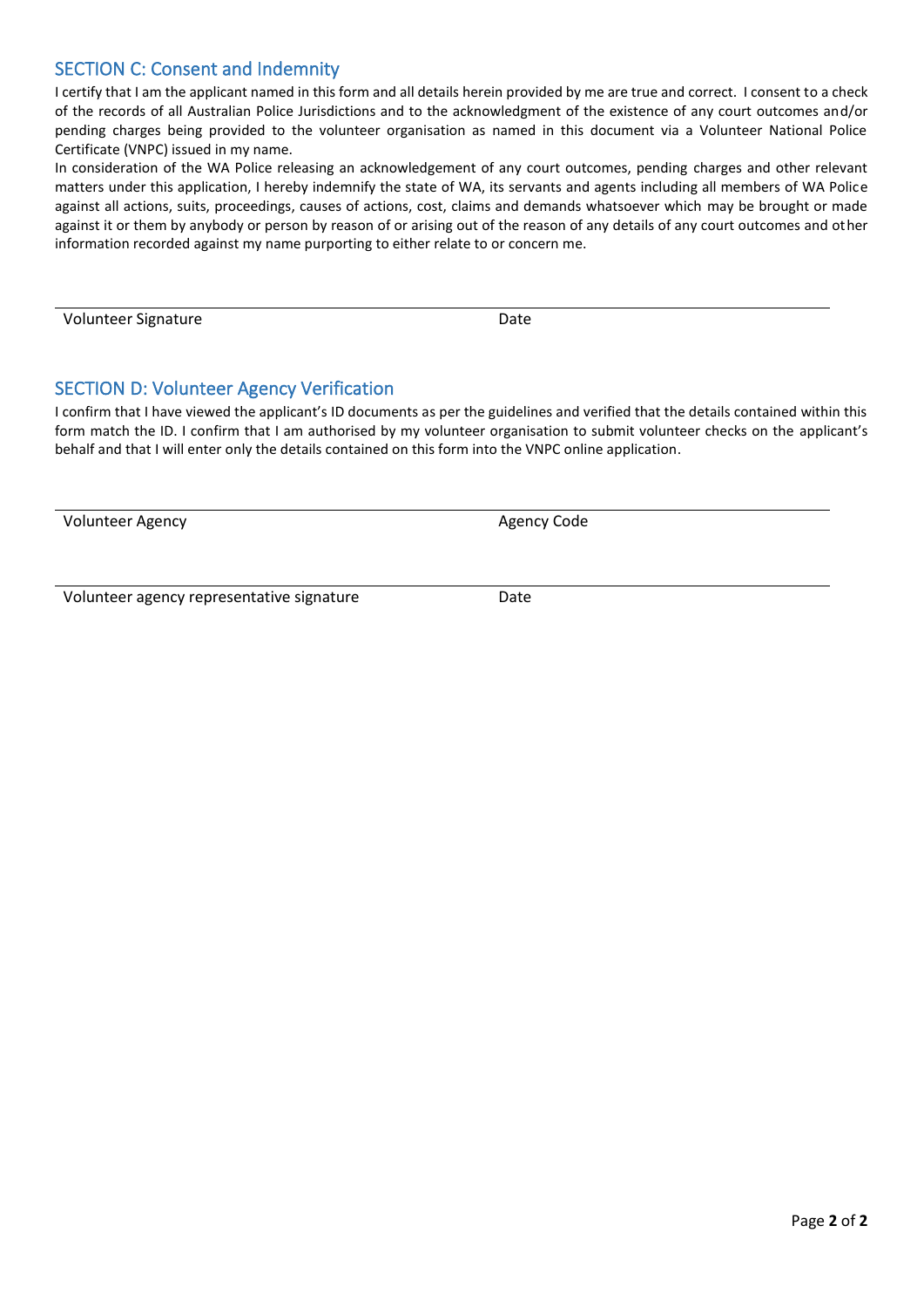#### SECTION C: Consent and Indemnity

I certify that I am the applicant named in this form and all details herein provided by me are true and correct. I consent to a check of the records of all Australian Police Jurisdictions and to the acknowledgment of the existence of any court outcomes and/or pending charges being provided to the volunteer organisation as named in this document via a Volunteer National Police Certificate (VNPC) issued in my name.

In consideration of the WA Police releasing an acknowledgement of any court outcomes, pending charges and other relevant matters under this application, I hereby indemnify the state of WA, its servants and agents including all members of WA Police against all actions, suits, proceedings, causes of actions, cost, claims and demands whatsoever which may be brought or made against it or them by anybody or person by reason of or arising out of the reason of any details of any court outcomes and other information recorded against my name purporting to either relate to or concern me.

Volunteer Signature **Date** Date

#### SECTION D: Volunteer Agency Verification

I confirm that I have viewed the applicant's ID documents as per the guidelines and verified that the details contained within this form match the ID. I confirm that I am authorised by my volunteer organisation to submit volunteer checks on the applicant's behalf and that I will enter only the details contained on this form into the VNPC online application.

Volunteer Agency **Agency Agency Code Agency Code** 

Volunteer agency representative signature Date